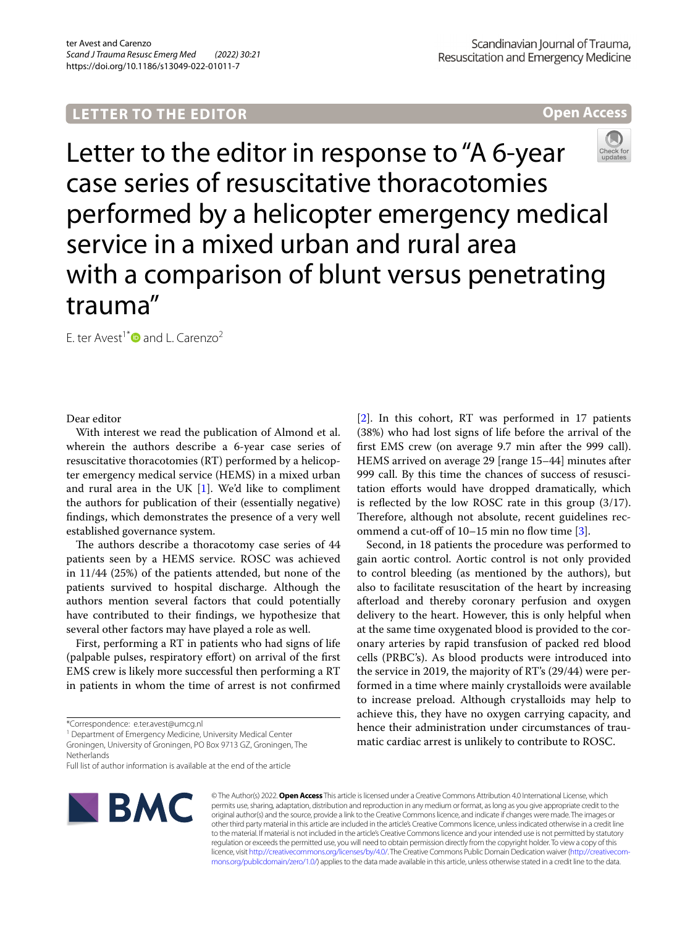# **LETTER TO THE EDITOR**

**Open Access**



Letter to the editor in response to "A 6-year case series of resuscitative thoracotomies performed by a helicopter emergency medical service in a mixed urban and rural area with a comparison of blunt versus penetrating trauma"

E. ter Avest<sup>1[\\*](http://orcid.org/0000-0002-1462-6130)</sup> $\bullet$  and L. Carenzo<sup>2</sup>

## Dear editor

With interest we read the publication of Almond et al. wherein the authors describe a 6-year case series of resuscitative thoracotomies (RT) performed by a helicopter emergency medical service (HEMS) in a mixed urban and rural area in the UK [\[1](#page-1-0)]. We'd like to compliment the authors for publication of their (essentially negative) fndings, which demonstrates the presence of a very well established governance system.

The authors describe a thoracotomy case series of 44 patients seen by a HEMS service. ROSC was achieved in 11/44 (25%) of the patients attended, but none of the patients survived to hospital discharge. Although the authors mention several factors that could potentially have contributed to their fndings, we hypothesize that several other factors may have played a role as well.

First, performing a RT in patients who had signs of life (palpable pulses, respiratory efort) on arrival of the frst EMS crew is likely more successful then performing a RT in patients in whom the time of arrest is not confrmed

<sup>1</sup> Department of Emergency Medicine, University Medical Center Groningen, University of Groningen, PO Box 9713 GZ, Groningen, The **Netherlands** 

Full list of author information is available at the end of the article



[[2\]](#page-1-1). In this cohort, RT was performed in 17 patients (38%) who had lost signs of life before the arrival of the frst EMS crew (on average 9.7 min after the 999 call). HEMS arrived on average 29 [range 15–44] minutes after 999 call. By this time the chances of success of resuscitation efforts would have dropped dramatically, which is refected by the low ROSC rate in this group (3/17). Therefore, although not absolute, recent guidelines recommend a cut-off of  $10-15$  min no flow time [[3\]](#page-1-2).

Second, in 18 patients the procedure was performed to gain aortic control. Aortic control is not only provided to control bleeding (as mentioned by the authors), but also to facilitate resuscitation of the heart by increasing afterload and thereby coronary perfusion and oxygen delivery to the heart. However, this is only helpful when at the same time oxygenated blood is provided to the coronary arteries by rapid transfusion of packed red blood cells (PRBC's). As blood products were introduced into the service in 2019, the majority of RT's (29/44) were performed in a time where mainly crystalloids were available to increase preload. Although crystalloids may help to achieve this, they have no oxygen carrying capacity, and hence their administration under circumstances of traumatic cardiac arrest is unlikely to contribute to ROSC.

© The Author(s) 2022. **Open Access** This article is licensed under a Creative Commons Attribution 4.0 International License, which permits use, sharing, adaptation, distribution and reproduction in any medium or format, as long as you give appropriate credit to the original author(s) and the source, provide a link to the Creative Commons licence, and indicate if changes were made. The images or other third party material in this article are included in the article's Creative Commons licence, unless indicated otherwise in a credit line to the material. If material is not included in the article's Creative Commons licence and your intended use is not permitted by statutory regulation or exceeds the permitted use, you will need to obtain permission directly from the copyright holder. To view a copy of this licence, visit [http://creativecommons.org/licenses/by/4.0/.](http://creativecommons.org/licenses/by/4.0/) The Creative Commons Public Domain Dedication waiver ([http://creativecom](http://creativecommons.org/publicdomain/zero/1.0/)[mons.org/publicdomain/zero/1.0/\)](http://creativecommons.org/publicdomain/zero/1.0/) applies to the data made available in this article, unless otherwise stated in a credit line to the data.

<sup>\*</sup>Correspondence: e.ter.avest@umcg.nl